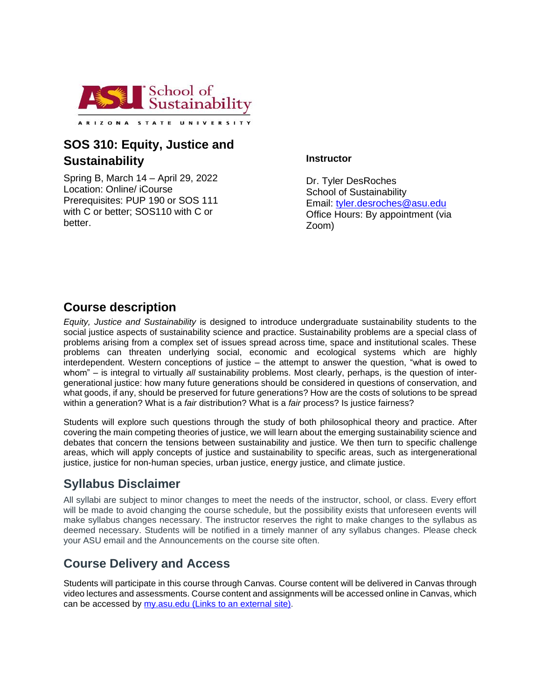

# **SOS 310: Equity, Justice and Sustainability**

Spring B, March 14 – April 29, 2022 Location: Online/ iCourse Prerequisites: PUP 190 or SOS 111 with C or better; SOS110 with C or better.

### **Instructor**

Dr. Tyler DesRoches School of Sustainability Email: [tyler.desroches@asu.edu](mailto:tyler.desroches@asu.edu) Office Hours: By appointment (via Zoom)

# **Course description**

*Equity, Justice and Sustainability* is designed to introduce undergraduate sustainability students to the social justice aspects of sustainability science and practice. Sustainability problems are a special class of problems arising from a complex set of issues spread across time, space and institutional scales. These problems can threaten underlying social, economic and ecological systems which are highly interdependent. Western conceptions of justice – the attempt to answer the question, "what is owed to whom" – is integral to virtually *all* sustainability problems. Most clearly, perhaps, is the question of intergenerational justice: how many future generations should be considered in questions of conservation, and what goods, if any, should be preserved for future generations? How are the costs of solutions to be spread within a generation? What is a *fair* distribution? What is a *fair* process? Is justice fairness?

Students will explore such questions through the study of both philosophical theory and practice. After covering the main competing theories of justice, we will learn about the emerging sustainability science and debates that concern the tensions between sustainability and justice. We then turn to specific challenge areas, which will apply concepts of justice and sustainability to specific areas, such as intergenerational justice, justice for non-human species, urban justice, energy justice, and climate justice.

# **Syllabus Disclaimer**

All syllabi are subject to minor changes to meet the needs of the instructor, school, or class. Every effort will be made to avoid changing the course schedule, but the possibility exists that unforeseen events will make syllabus changes necessary. The instructor reserves the right to make changes to the syllabus as deemed necessary. Students will be notified in a timely manner of any syllabus changes. Please check your ASU email and the Announcements on the course site often.

# **Course Delivery and Access**

Students will participate in this course through Canvas. Course content will be delivered in Canvas through video lectures and assessments. Course content and assignments will be accessed online in Canvas, which can be accessed by [my.asu.edu](http://my.asu.edu/) (Links to an external site).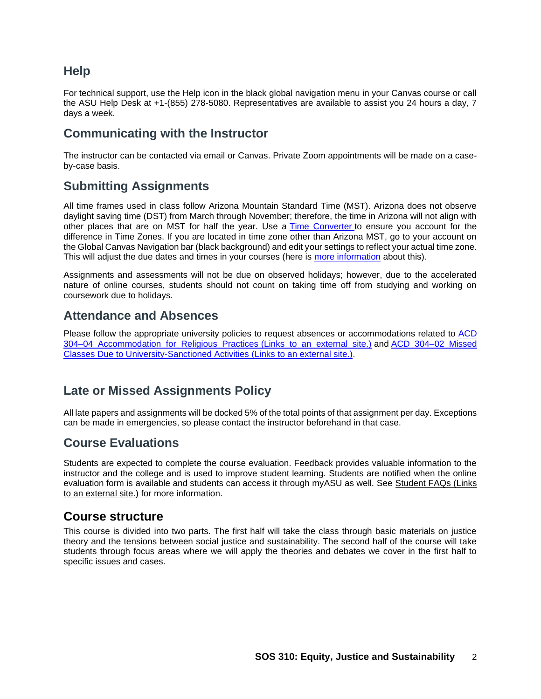## **Help**

For technical support, use the Help icon in the black global navigation menu in your Canvas course or call the ASU Help Desk at +1-(855) 278-5080. Representatives are available to assist you 24 hours a day, 7 days a week.

### **Communicating with the Instructor**

The instructor can be contacted via email or Canvas. Private Zoom appointments will be made on a caseby-case basis.

## **Submitting Assignments**

All time frames used in class follow Arizona Mountain Standard Time (MST). Arizona does not observe daylight saving time (DST) from March through November; therefore, the time in Arizona will not align with other places that are on MST for half the year. Use a [Time Converter](http://www.thetimezoneconverter.com/) to ensure you account for the difference in Time Zones. If you are located in time zone other than Arizona MST, go to your account on the Global Canvas Navigation bar (black background) and edit your settings to reflect your actual time zone. This will adjust the due dates and times in your courses (here is [more information](https://community.canvaslms.com/docs/DOC-10622-4212717410) about this).

Assignments and assessments will not be due on observed holidays; however, due to the accelerated nature of online courses, students should not count on taking time off from studying and working on coursework due to holidays.

### **Attendance and Absences**

Please follow the appropriate university policies to request absences or accommodations related to [ACD](http://www.asu.edu/aad/manuals/acd/acd304-04.html)  [304–04 Accommodation for Religious Practices](http://www.asu.edu/aad/manuals/acd/acd304-04.html) (Links to an external site.) and [ACD 304–02 Missed](http://www.asu.edu/aad/manuals/acd/acd304-02.html)  [Classes Due to University-Sanctioned Activities](http://www.asu.edu/aad/manuals/acd/acd304-02.html) (Links to an external site.).

# **Late or Missed Assignments Policy**

All late papers and assignments will be docked 5% of the total points of that assignment per day. Exceptions can be made in emergencies, so please contact the instructor beforehand in that case.

### **Course Evaluations**

Students are expected to complete the course evaluation. Feedback provides valuable information to the instructor and the college and is used to improve student learning. Students are notified when the online evaluation form is available and students can access it through myASU as well. See [Student FAQs](https://uoeee.asu.edu/online-course-evaluation-faqs) (Links to an [external](https://uoeee.asu.edu/online-course-evaluation-faqs) site.) for more information.

### **Course structure**

This course is divided into two parts. The first half will take the class through basic materials on justice theory and the tensions between social justice and sustainability. The second half of the course will take students through focus areas where we will apply the theories and debates we cover in the first half to specific issues and cases.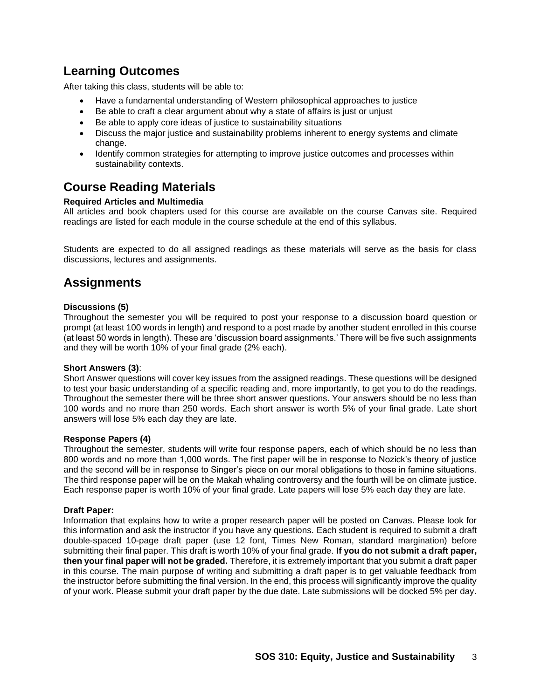## **Learning Outcomes**

After taking this class, students will be able to:

- Have a fundamental understanding of Western philosophical approaches to justice
- Be able to craft a clear argument about why a state of affairs is just or unjust
- Be able to apply core ideas of justice to sustainability situations
- Discuss the major justice and sustainability problems inherent to energy systems and climate change.
- Identify common strategies for attempting to improve justice outcomes and processes within sustainability contexts.

# **Course Reading Materials**

### **Required Articles and Multimedia**

All articles and book chapters used for this course are available on the course Canvas site. Required readings are listed for each module in the course schedule at the end of this syllabus.

Students are expected to do all assigned readings as these materials will serve as the basis for class discussions, lectures and assignments.

# **Assignments**

### **Discussions (5)**

Throughout the semester you will be required to post your response to a discussion board question or prompt (at least 100 words in length) and respond to a post made by another student enrolled in this course (at least 50 words in length). These are 'discussion board assignments.' There will be five such assignments and they will be worth 10% of your final grade (2% each).

### **Short Answers (3)**:

Short Answer questions will cover key issues from the assigned readings. These questions will be designed to test your basic understanding of a specific reading and, more importantly, to get you to do the readings. Throughout the semester there will be three short answer questions. Your answers should be no less than 100 words and no more than 250 words. Each short answer is worth 5% of your final grade. Late short answers will lose 5% each day they are late.

#### **Response Papers (4)**

Throughout the semester, students will write four response papers, each of which should be no less than 800 words and no more than 1,000 words. The first paper will be in response to Nozick's theory of justice and the second will be in response to Singer's piece on our moral obligations to those in famine situations. The third response paper will be on the Makah whaling controversy and the fourth will be on climate justice. Each response paper is worth 10% of your final grade. Late papers will lose 5% each day they are late.

#### **Draft Paper:**

Information that explains how to write a proper research paper will be posted on Canvas. Please look for this information and ask the instructor if you have any questions. Each student is required to submit a draft double-spaced 10-page draft paper (use 12 font, Times New Roman, standard margination) before submitting their final paper. This draft is worth 10% of your final grade. **If you do not submit a draft paper, then your final paper will not be graded.** Therefore, it is extremely important that you submit a draft paper in this course. The main purpose of writing and submitting a draft paper is to get valuable feedback from the instructor before submitting the final version. In the end, this process will significantly improve the quality of your work. Please submit your draft paper by the due date. Late submissions will be docked 5% per day.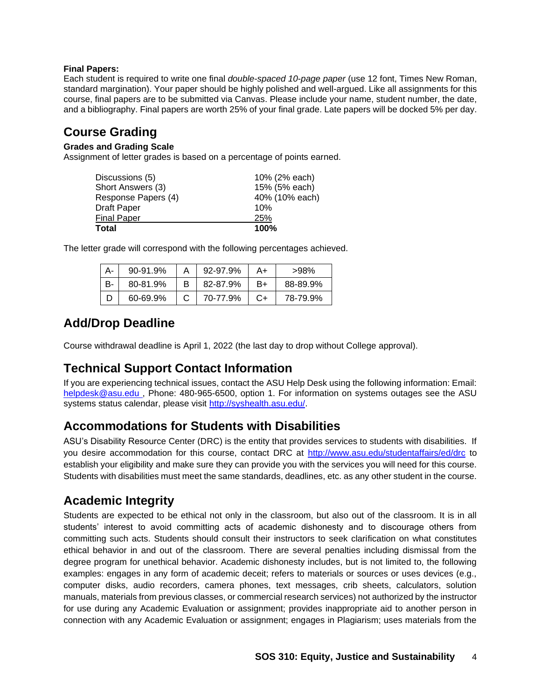#### **Final Papers:**

Each student is required to write one final *double-spaced 10-page paper* (use 12 font, Times New Roman, standard margination). Your paper should be highly polished and well-argued. Like all assignments for this course, final papers are to be submitted via Canvas. Please include your name, student number, the date, and a bibliography. Final papers are worth 25% of your final grade. Late papers will be docked 5% per day.

# **Course Grading**

### **Grades and Grading Scale**

Assignment of letter grades is based on a percentage of points earned.

| 25%            |
|----------------|
|                |
| 10%            |
| 40% (10% each) |
| 15% (5% each)  |
| 10% (2% each)  |
|                |

The letter grade will correspond with the following percentages achieved.

| A- | 90-91.9% | 92-97.9% | A+   | >98%     |
|----|----------|----------|------|----------|
| В- | 80-81.9% | 82-87.9% | B+   | 88-89.9% |
|    | 60-69.9% | 70-77.9% | $C+$ | 78-79.9% |

## **Add/Drop Deadline**

Course withdrawal deadline is April 1, 2022 (the last day to drop without College approval).

# **Technical Support Contact Information**

If you are experiencing technical issues, contact the ASU Help Desk using the following information: Email: [helpdesk@asu.edu ,](mailto:helpdesk@asu.edu) Phone: 480-965-6500, option 1. For information on systems outages see the ASU systems status calendar, please visit [http://syshealth.asu.edu/.](http://syshealth.asu.edu/)

# **Accommodations for Students with Disabilities**

ASU's Disability Resource Center (DRC) is the entity that provides services to students with disabilities. If you desire accommodation for this course, contact DRC at<http://www.asu.edu/studentaffairs/ed/drc> to establish your eligibility and make sure they can provide you with the services you will need for this course. Students with disabilities must meet the same standards, deadlines, etc. as any other student in the course.

# **Academic Integrity**

Students are expected to be ethical not only in the classroom, but also out of the classroom. It is in all students' interest to avoid committing acts of academic dishonesty and to discourage others from committing such acts. Students should consult their instructors to seek clarification on what constitutes ethical behavior in and out of the classroom. There are several penalties including dismissal from the degree program for unethical behavior. Academic dishonesty includes, but is not limited to, the following examples: engages in any form of academic deceit; refers to materials or sources or uses devices (e.g., computer disks, audio recorders, camera phones, text messages, crib sheets, calculators, solution manuals, materials from previous classes, or commercial research services) not authorized by the instructor for use during any Academic Evaluation or assignment; provides inappropriate aid to another person in connection with any Academic Evaluation or assignment; engages in Plagiarism; uses materials from the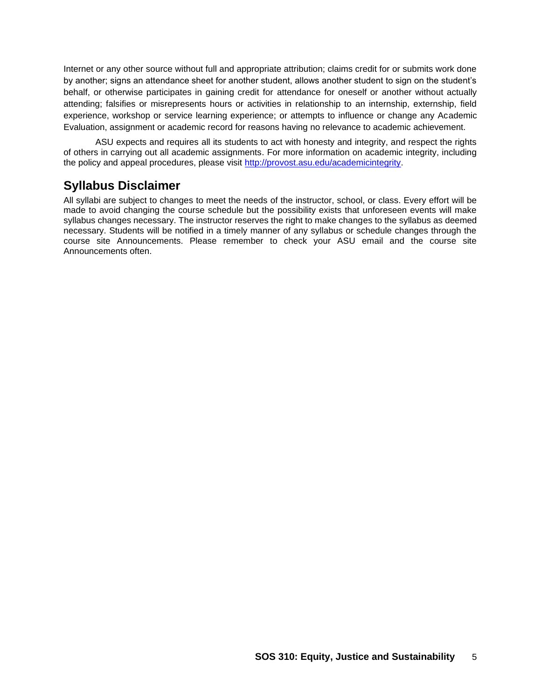Internet or any other source without full and appropriate attribution; claims credit for or submits work done by another; signs an attendance sheet for another student, allows another student to sign on the student's behalf, or otherwise participates in gaining credit for attendance for oneself or another without actually attending; falsifies or misrepresents hours or activities in relationship to an internship, externship, field experience, workshop or service learning experience; or attempts to influence or change any Academic Evaluation, assignment or academic record for reasons having no relevance to academic achievement.

ASU expects and requires all its students to act with honesty and integrity, and respect the rights of others in carrying out all academic assignments. For more information on academic integrity, including the policy and appeal procedures, please visit [http://provost.asu.edu/academicintegrity.](http://provost.asu.edu/academicintegrity)

# **Syllabus Disclaimer**

All syllabi are subject to changes to meet the needs of the instructor, school, or class. Every effort will be made to avoid changing the course schedule but the possibility exists that unforeseen events will make syllabus changes necessary. The instructor reserves the right to make changes to the syllabus as deemed necessary. Students will be notified in a timely manner of any syllabus or schedule changes through the course site Announcements. Please remember to check your ASU email and the course site Announcements often.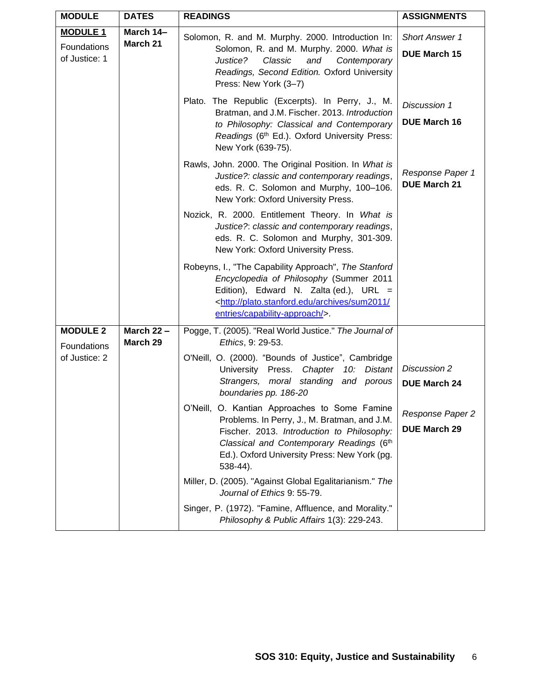| <b>MODULE</b>                                   | <b>DATES</b>          | <b>READINGS</b>                                                                                                                                                                                                                                                                                                                                                                                                                                                                                                                                                                                                                                 | <b>ASSIGNMENTS</b>                                                                    |
|-------------------------------------------------|-----------------------|-------------------------------------------------------------------------------------------------------------------------------------------------------------------------------------------------------------------------------------------------------------------------------------------------------------------------------------------------------------------------------------------------------------------------------------------------------------------------------------------------------------------------------------------------------------------------------------------------------------------------------------------------|---------------------------------------------------------------------------------------|
| <b>MODULE 1</b><br>Foundations<br>of Justice: 1 | March 14-<br>March 21 | Solomon, R. and M. Murphy. 2000. Introduction In:<br>Solomon, R. and M. Murphy. 2000. What is<br>Justice?<br>Classic<br>and<br>Contemporary<br>Readings, Second Edition. Oxford University<br>Press: New York (3-7)                                                                                                                                                                                                                                                                                                                                                                                                                             | <b>Short Answer 1</b><br><b>DUE March 15</b>                                          |
|                                                 |                       | Plato. The Republic (Excerpts). In Perry, J., M.<br>Bratman, and J.M. Fischer. 2013. Introduction<br>to Philosophy: Classical and Contemporary<br>Readings (6th Ed.). Oxford University Press:<br>New York (639-75).                                                                                                                                                                                                                                                                                                                                                                                                                            | Discussion 1<br><b>DUE March 16</b>                                                   |
|                                                 |                       | Rawls, John. 2000. The Original Position. In What is<br>Justice?: classic and contemporary readings,<br>eds. R. C. Solomon and Murphy, 100-106.<br>New York: Oxford University Press.                                                                                                                                                                                                                                                                                                                                                                                                                                                           | Response Paper 1<br><b>DUE March 21</b>                                               |
|                                                 |                       | Nozick, R. 2000. Entitlement Theory. In What is<br>Justice?: classic and contemporary readings,<br>eds. R. C. Solomon and Murphy, 301-309.<br>New York: Oxford University Press.                                                                                                                                                                                                                                                                                                                                                                                                                                                                |                                                                                       |
|                                                 |                       | Robeyns, I., "The Capability Approach", The Stanford<br>Encyclopedia of Philosophy (Summer 2011<br>Edition), Edward N. Zalta (ed.), URL =<br><http: <br="" archives="" plato.stanford.edu="" sum2011="">entries/capability-approach/&gt;</http:>                                                                                                                                                                                                                                                                                                                                                                                                |                                                                                       |
| <b>MODULE 2</b>                                 | March 22 -            | Pogge, T. (2005). "Real World Justice." The Journal of                                                                                                                                                                                                                                                                                                                                                                                                                                                                                                                                                                                          |                                                                                       |
| Foundations<br>of Justice: 2                    | March 29              | Ethics, 9: 29-53.<br>O'Neill, O. (2000). "Bounds of Justice", Cambridge<br>University Press. Chapter 10: Distant<br>Strangers, moral standing<br>and porous<br>boundaries pp. 186-20<br>O'Neill, O. Kantian Approaches to Some Famine<br>Problems. In Perry, J., M. Bratman, and J.M.<br>Fischer. 2013. Introduction to Philosophy:<br>Classical and Contemporary Readings (6th<br>Ed.). Oxford University Press: New York (pg.<br>$538-44$ ).<br>Miller, D. (2005). "Against Global Egalitarianism." The<br>Journal of Ethics 9: 55-79.<br>Singer, P. (1972). "Famine, Affluence, and Morality."<br>Philosophy & Public Affairs 1(3): 229-243. | <b>Discussion 2</b><br><b>DUE March 24</b><br>Response Paper 2<br><b>DUE March 29</b> |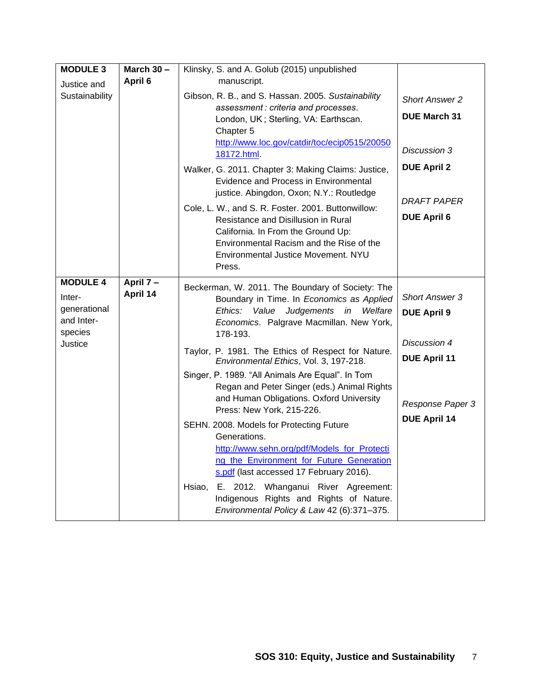| <b>MODULE 3</b><br>Justice and                                                | March $30 -$<br>April 6 | Klinsky, S. and A. Golub (2015) unpublished<br>manuscript.                                                                                                                                                                                                                                                                                                                                                                                                                                                                                                                                                                                                                                                                                                                                                           |                                                                                                                               |
|-------------------------------------------------------------------------------|-------------------------|----------------------------------------------------------------------------------------------------------------------------------------------------------------------------------------------------------------------------------------------------------------------------------------------------------------------------------------------------------------------------------------------------------------------------------------------------------------------------------------------------------------------------------------------------------------------------------------------------------------------------------------------------------------------------------------------------------------------------------------------------------------------------------------------------------------------|-------------------------------------------------------------------------------------------------------------------------------|
| Sustainability                                                                |                         | Gibson, R. B., and S. Hassan. 2005. Sustainability<br>assessment: criteria and processes.<br>London, UK; Sterling, VA: Earthscan.<br>Chapter 5<br>http://www.loc.gov/catdir/toc/ecip0515/20050<br>18172.html.                                                                                                                                                                                                                                                                                                                                                                                                                                                                                                                                                                                                        | <b>Short Answer 2</b><br><b>DUE March 31</b><br>Discussion 3<br><b>DUE April 2</b>                                            |
|                                                                               |                         | Walker, G. 2011. Chapter 3: Making Claims: Justice,<br>Evidence and Process in Environmental<br>justice. Abingdon, Oxon; N.Y.: Routledge<br>Cole, L. W., and S. R. Foster. 2001. Buttonwillow:<br>Resistance and Disillusion in Rural<br>California. In From the Ground Up:<br>Environmental Racism and the Rise of the<br>Environmental Justice Movement. NYU<br>Press.                                                                                                                                                                                                                                                                                                                                                                                                                                             | DRAFT PAPER<br><b>DUE April 6</b>                                                                                             |
| <b>MODULE 4</b><br>Inter-<br>generational<br>and Inter-<br>species<br>Justice | April 7-<br>April 14    | Beckerman, W. 2011. The Boundary of Society: The<br>Boundary in Time. In Economics as Applied<br>Ethics: Value Judgements in Welfare<br>Economics. Palgrave Macmillan. New York,<br>178-193.<br>Taylor, P. 1981. The Ethics of Respect for Nature.<br>Environmental Ethics, Vol. 3, 197-218.<br>Singer, P. 1989. "All Animals Are Equal". In Tom<br>Regan and Peter Singer (eds.) Animal Rights<br>and Human Obligations. Oxford University<br>Press: New York, 215-226.<br>SEHN. 2008. Models for Protecting Future<br>Generations.<br>http://www.sehn.org/pdf/Models_for_Protecti<br>ng_the_Environment_for_Future_Generation<br>s.pdf (last accessed 17 February 2016).<br>E. 2012. Whanganui River Agreement:<br>Hsiao,<br>Indigenous Rights and Rights of Nature.<br>Environmental Policy & Law 42 (6):371-375. | <b>Short Answer 3</b><br><b>DUE April 9</b><br>Discussion 4<br><b>DUE April 11</b><br>Response Paper 3<br><b>DUE April 14</b> |